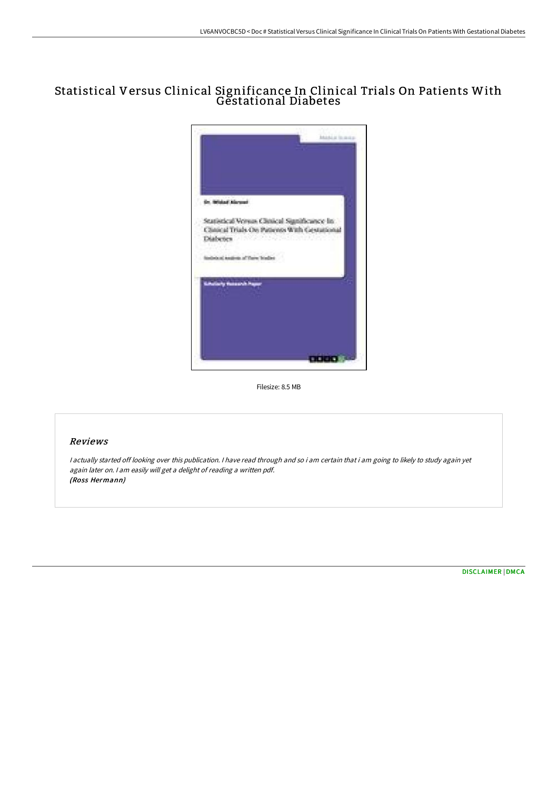## Statistical Versus Clinical Significance In Clinical Trials On Patients With Gestational Diabetes



Filesize: 8.5 MB

## Reviews

<sup>I</sup> actually started off looking over this publication. <sup>I</sup> have read through and so i am certain that i am going to likely to study again yet again later on. <sup>I</sup> am easily will get <sup>a</sup> delight of reading <sup>a</sup> written pdf. (Ross Hermann)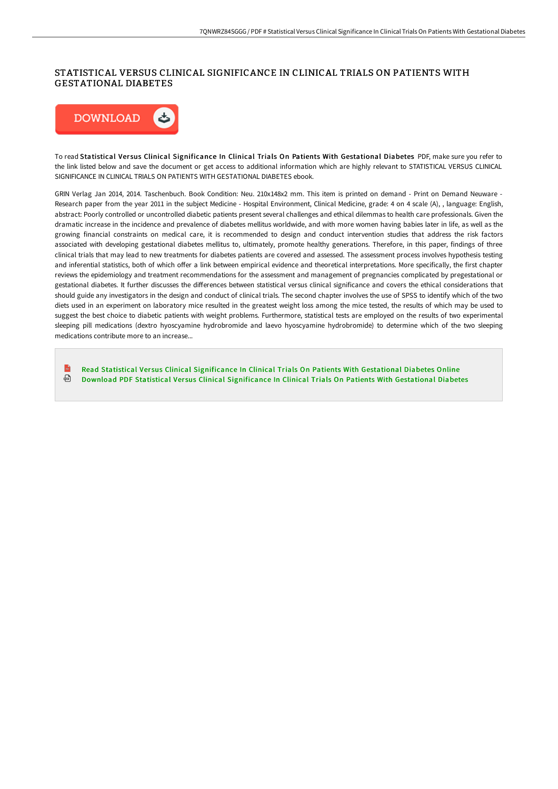## STATISTICAL VERSUS CLINICAL SIGNIFICANCE IN CLINICAL TRIALS ON PATIENTS WITH GESTATIONAL DIABETES



To read Statistical Ver sus Clinical Significance In Clinical Trials On Patients With Gestational Diabetes PDF, make sure you refer to the link listed below and save the document or get access to additional information which are highly relevant to STATISTICAL VERSUS CLINICAL SIGNIFICANCE IN CLINICAL TRIALS ON PATIENTS WITH GESTATIONAL DIABETES ebook.

GRIN Verlag Jan 2014, 2014. Taschenbuch. Book Condition: Neu. 210x148x2 mm. This item is printed on demand - Print on Demand Neuware - Research paper from the year 2011 in the subject Medicine - Hospital Environment, Clinical Medicine, grade: 4 on 4 scale (A), , language: English, abstract: Poorly controlled or uncontrolled diabetic patients present several challenges and ethical dilemmas to health care professionals. Given the dramatic increase in the incidence and prevalence of diabetes mellitus worldwide, and with more women having babies later in life, as well as the growing financial constraints on medical care, it is recommended to design and conduct intervention studies that address the risk factors associated with developing gestational diabetes mellitus to, ultimately, promote healthy generations. Therefore, in this paper, findings of three clinical trials that may lead to new treatments for diabetes patients are covered and assessed. The assessment process involves hypothesis testing and inferential statistics, both of which offer a link between empirical evidence and theoretical interpretations. More specifically, the first chapter reviews the epidemiology and treatment recommendations for the assessment and management of pregnancies complicated by pregestational or gestational diabetes. It further discusses the differences between statistical versus clinical significance and covers the ethical considerations that should guide any investigators in the design and conduct of clinical trials. The second chapter involves the use of SPSS to identify which of the two diets used in an experiment on laboratory mice resulted in the greatest weight loss among the mice tested, the results of which may be used to suggest the best choice to diabetic patients with weight problems. Furthermore, statistical tests are employed on the results of two experimental sleeping pill medications (dextro hyoscyamine hydrobromide and laevo hyoscyamine hydrobromide) to determine which of the two sleeping medications contribute more to an increase...

 $\mathbb{R}$ Read Statistical Versus Clinical [Significance](http://bookera.tech/statistical-versus-clinical-significance-in-clin.html) In Clinical Trials On Patients With Gestational Diabetes Online ⊕ Download PDF Statistical Versus Clinical [Significance](http://bookera.tech/statistical-versus-clinical-significance-in-clin.html) In Clinical Trials On Patients With Gestational Diabetes